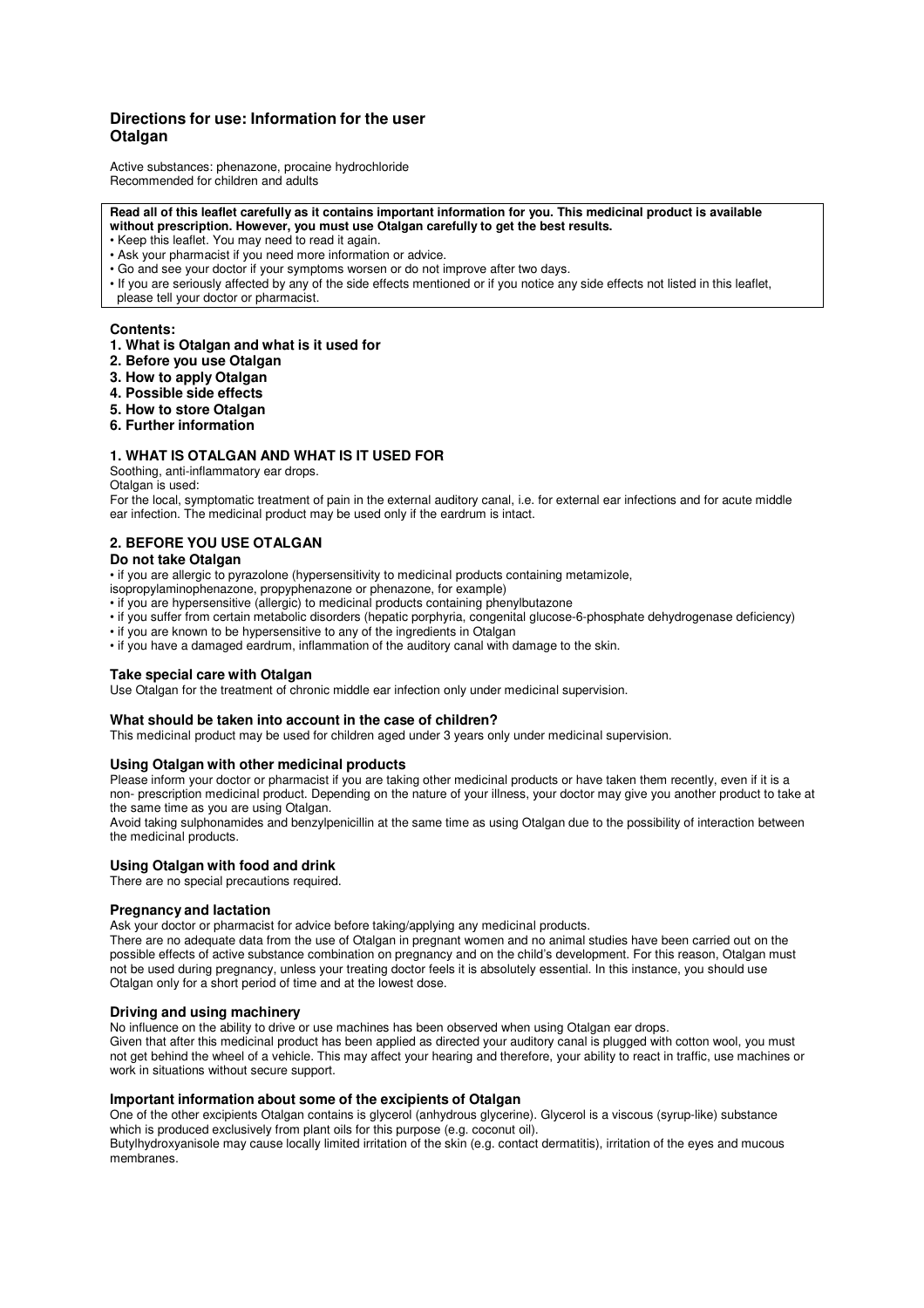# **Directions for use: Information for the user Otalgan**

Active substances: phenazone, procaine hydrochloride Recommended for children and adults

#### **Read all of this leaflet carefully as it contains important information for you. This medicinal product is available without prescription. However, you must use Otalgan carefully to get the best results.**

- Keep this leaflet. You may need to read it again.
- Ask your pharmacist if you need more information or advice.
- Go and see your doctor if your symptoms worsen or do not improve after two days.
- If you are seriously affected by any of the side effects mentioned or if you notice any side effects not listed in this leaflet, please tell your doctor or pharmacist.

### **Contents:**

- **1. What is Otalgan and what is it used for**
- **2. Before you use Otalgan**
- **3. How to apply Otalgan**
- **4. Possible side effects**
- **5. How to store Otalgan**
- **6. Further information**

## **1. WHAT IS OTALGAN AND WHAT IS IT USED FOR**

Soothing, anti-inflammatory ear drops.

Otalgan is used:

For the local, symptomatic treatment of pain in the external auditory canal, i.e. for external ear infections and for acute middle ear infection. The medicinal product may be used only if the eardrum is intact.

## **2. BEFORE YOU USE OTALGAN**

## **Do not take Otalgan**

• if you are allergic to pyrazolone (hypersensitivity to medicinal products containing metamizole,

- isopropylaminophenazone, propyphenazone or phenazone, for example)
- if you are hypersensitive (allergic) to medicinal products containing phenylbutazone
- if you suffer from certain metabolic disorders (hepatic porphyria, congenital glucose-6-phosphate dehydrogenase deficiency)
- if you are known to be hypersensitive to any of the ingredients in Otalgan
- if you have a damaged eardrum, inflammation of the auditory canal with damage to the skin.

## **Take special care with Otalgan**

Use Otalgan for the treatment of chronic middle ear infection only under medicinal supervision.

### **What should be taken into account in the case of children?**

This medicinal product may be used for children aged under 3 years only under medicinal supervision.

### **Using Otalgan with other medicinal products**

Please inform your doctor or pharmacist if you are taking other medicinal products or have taken them recently, even if it is a non- prescription medicinal product. Depending on the nature of your illness, your doctor may give you another product to take at the same time as you are using Otalgan.

Avoid taking sulphonamides and benzylpenicillin at the same time as using Otalgan due to the possibility of interaction between the medicinal products.

## **Using Otalgan with food and drink**

There are no special precautions required.

### **Pregnancy and lactation**

Ask your doctor or pharmacist for advice before taking/applying any medicinal products.

There are no adequate data from the use of Otalgan in pregnant women and no animal studies have been carried out on the possible effects of active substance combination on pregnancy and on the child's development. For this reason, Otalgan must not be used during pregnancy, unless your treating doctor feels it is absolutely essential. In this instance, you should use Otalgan only for a short period of time and at the lowest dose.

## **Driving and using machinery**

No influence on the ability to drive or use machines has been observed when using Otalgan ear drops.

Given that after this medicinal product has been applied as directed your auditory canal is plugged with cotton wool, you must not get behind the wheel of a vehicle. This may affect your hearing and therefore, your ability to react in traffic, use machines or work in situations without secure support.

## **Important information about some of the excipients of Otalgan**

One of the other excipients Otalgan contains is glycerol (anhydrous glycerine). Glycerol is a viscous (syrup-like) substance which is produced exclusively from plant oils for this purpose (e.g. coconut oil).

Butylhydroxyanisole may cause locally limited irritation of the skin (e.g. contact dermatitis), irritation of the eyes and mucous membranes.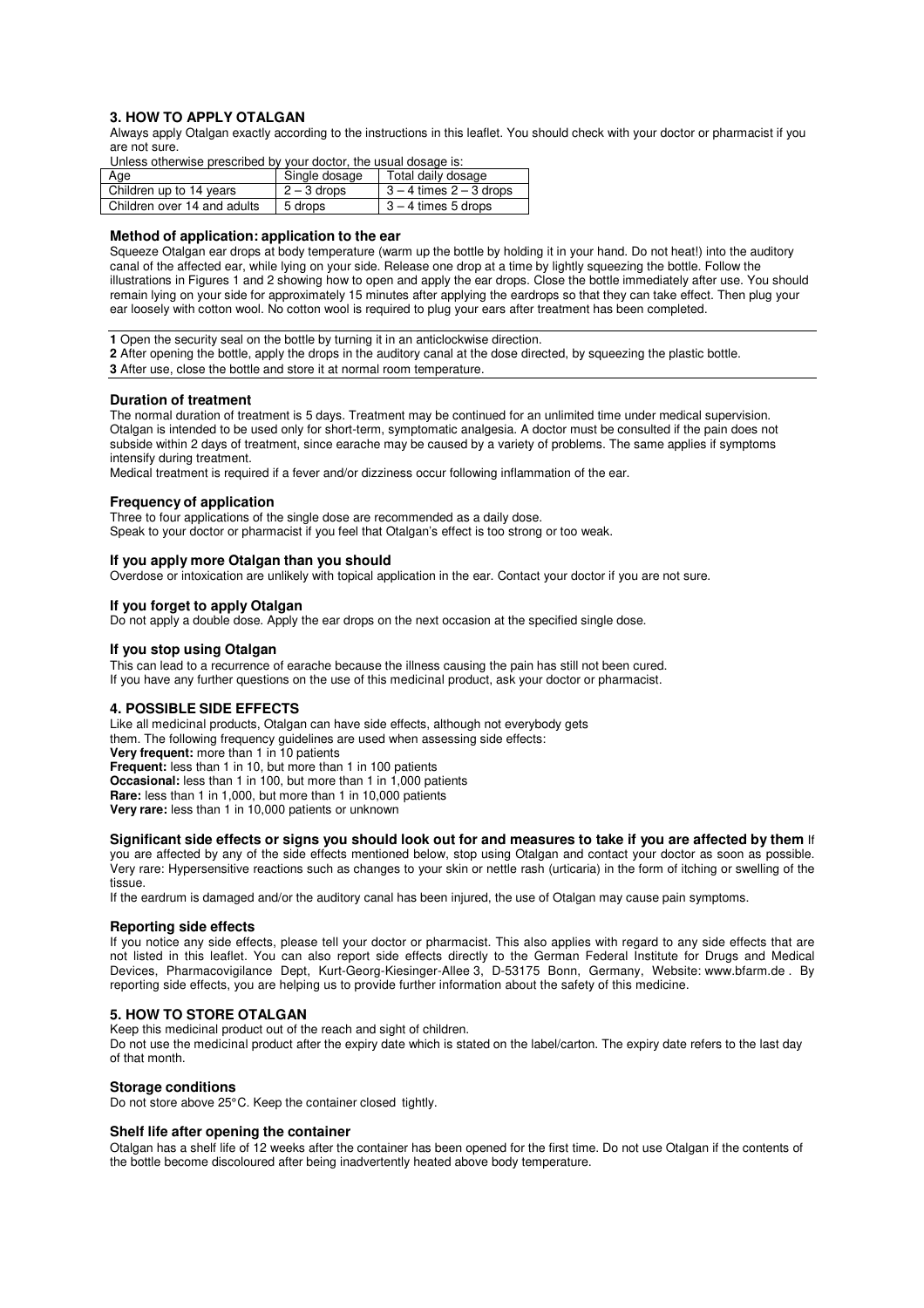## **3. HOW TO APPLY OTALGAN**

Always apply Otalgan exactly according to the instructions in this leaflet. You should check with your doctor or pharmacist if you are not sure.

Unless otherwise prescribed by your doctor, the usual dosage is:

| Age                         | Single dosage | Total daily dosage          |
|-----------------------------|---------------|-----------------------------|
| Children up to 14 years     | $2 - 3$ drops | $3 - 4$ times $2 - 3$ drops |
| Children over 14 and adults | 5 drops       | 3 – 4 times 5 drops         |

#### **Method of application: application to the ear**

Squeeze Otalgan ear drops at body temperature (warm up the bottle by holding it in your hand. Do not heat!) into the auditory canal of the affected ear, while lying on your side. Release one drop at a time by lightly squeezing the bottle. Follow the illustrations in Figures 1 and 2 showing how to open and apply the ear drops. Close the bottle immediately after use. You should remain lying on your side for approximately 15 minutes after applying the eardrops so that they can take effect. Then plug your ear loosely with cotton wool. No cotton wool is required to plug your ears after treatment has been completed.

**1** Open the security seal on the bottle by turning it in an anticlockwise direction.

**2** After opening the bottle, apply the drops in the auditory canal at the dose directed, by squeezing the plastic bottle. **3** After use, close the bottle and store it at normal room temperature.

#### **Duration of treatment**

The normal duration of treatment is 5 days. Treatment may be continued for an unlimited time under medical supervision. Otalgan is intended to be used only for short-term, symptomatic analgesia. A doctor must be consulted if the pain does not subside within 2 days of treatment, since earache may be caused by a variety of problems. The same applies if symptoms intensify during treatment.

Medical treatment is required if a fever and/or dizziness occur following inflammation of the ear.

### **Frequency of application**

Three to four applications of the single dose are recommended as a daily dose. Speak to your doctor or pharmacist if you feel that Otalgan's effect is too strong or too weak.

### **If you apply more Otalgan than you should**

Overdose or intoxication are unlikely with topical application in the ear. Contact your doctor if you are not sure.

#### **If you forget to apply Otalgan**

Do not apply a double dose. Apply the ear drops on the next occasion at the specified single dose.

#### **If you stop using Otalgan**

This can lead to a recurrence of earache because the illness causing the pain has still not been cured. If you have any further questions on the use of this medicinal product, ask your doctor or pharmacist.

#### **4. POSSIBLE SIDE EFFECTS**

Like all medicinal products, Otalgan can have side effects, although not everybody gets them. The following frequency guidelines are used when assessing side effects: **Very frequent:** more than 1 in 10 patients **Frequent:** less than 1 in 10, but more than 1 in 100 patients **Occasional:** less than 1 in 100, but more than 1 in 1,000 patients **Rare:** less than 1 in 1,000, but more than 1 in 10,000 patients **Very rare:** less than 1 in 10,000 patients or unknown

## **Significant side effects or signs you should look out for and measures to take if you are affected by them** If

you are affected by any of the side effects mentioned below, stop using Otalgan and contact your doctor as soon as possible. Very rare: Hypersensitive reactions such as changes to your skin or nettle rash (urticaria) in the form of itching or swelling of the tissue.

If the eardrum is damaged and/or the auditory canal has been injured, the use of Otalgan may cause pain symptoms.

#### **Reporting side effects**

If you notice any side effects, please tell your doctor or pharmacist. This also applies with regard to any side effects that are not listed in this leaflet. You can also report side effects directly to the German Federal Institute for Drugs and Medical Devices, Pharmacovigilance Dept, Kurt-Georg-Kiesinger-Allee 3, D-53175 Bonn, Germany, Website: www.bfarm.de . By reporting side effects, you are helping us to provide further information about the safety of this medicine.

### **5. HOW TO STORE OTALGAN**

Keep this medicinal product out of the reach and sight of children.

Do not use the medicinal product after the expiry date which is stated on the label/carton. The expiry date refers to the last day of that month.

#### **Storage conditions**

Do not store above 25°C. Keep the container closed tightly.

### **Shelf life after opening the container**

Otalgan has a shelf life of 12 weeks after the container has been opened for the first time. Do not use Otalgan if the contents of the bottle become discoloured after being inadvertently heated above body temperature.